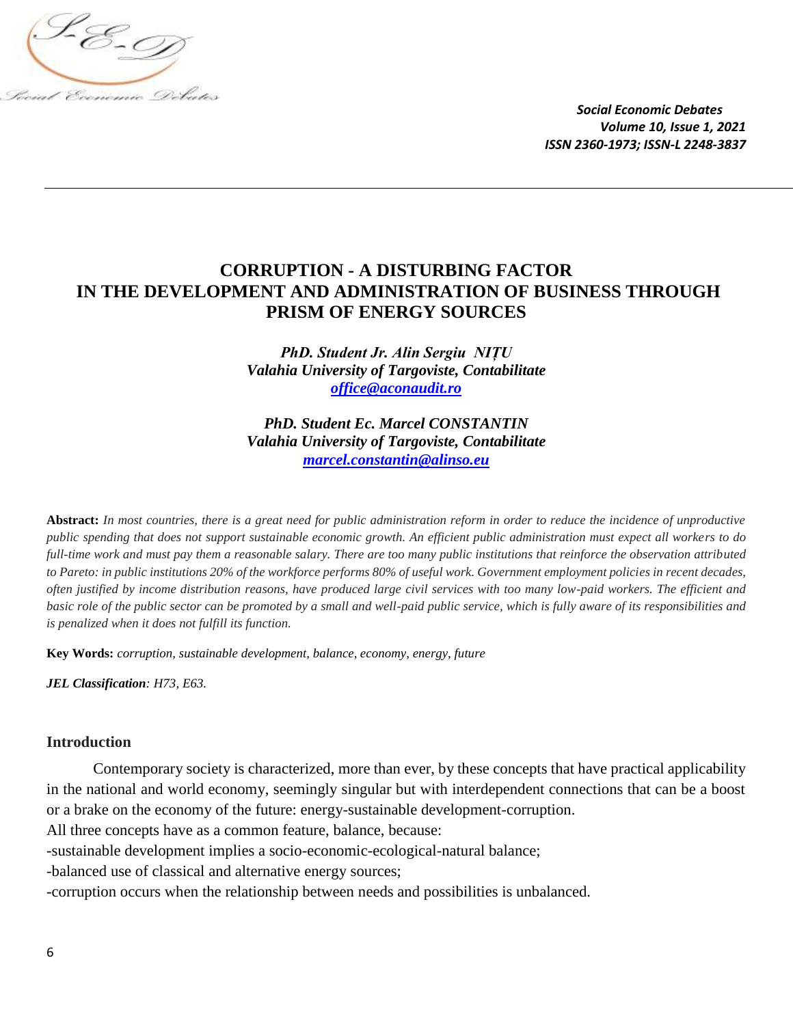

# **CORRUPTION - A DISTURBING FACTOR IN THE DEVELOPMENT AND ADMINISTRATION OF BUSINESS THROUGH PRISM OF ENERGY SOURCES**

*PhD. Student Jr. Alin Sergiu NIȚU Valahia University of Targoviste, Contabilitate [office@aconaudit.ro](mailto:office@aconaudit.ro)*

*PhD. Student Ec. Marcel CONSTANTIN Valahia University of Targoviste, Contabilitate [marcel.constantin@alinso.eu](mailto:marcel.constantin@alinso.eu)*

**Abstract:** *In most countries, there is a great need for public administration reform in order to reduce the incidence of unproductive public spending that does not support sustainable economic growth. An efficient public administration must expect all workers to do full-time work and must pay them a reasonable salary. There are too many public institutions that reinforce the observation attributed to Pareto: in public institutions 20% of the workforce performs 80% of useful work. Government employment policies in recent decades, often justified by income distribution reasons, have produced large civil services with too many low-paid workers. The efficient and basic role of the public sector can be promoted by a small and well-paid public service, which is fully aware of its responsibilities and is penalized when it does not fulfill its function.*

**Key Words:** *corruption, sustainable development, balance, economy, energy, future*

*JEL Classification: H73, E63.*

#### **Introduction**

Contemporary society is characterized, more than ever, by these concepts that have practical applicability in the national and world economy, seemingly singular but with interdependent connections that can be a boost or a brake on the economy of the future: energy-sustainable development-corruption.

All three concepts have as a common feature, balance, because:

-sustainable development implies a socio-economic-ecological-natural balance;

-balanced use of classical and alternative energy sources;

-corruption occurs when the relationship between needs and possibilities is unbalanced.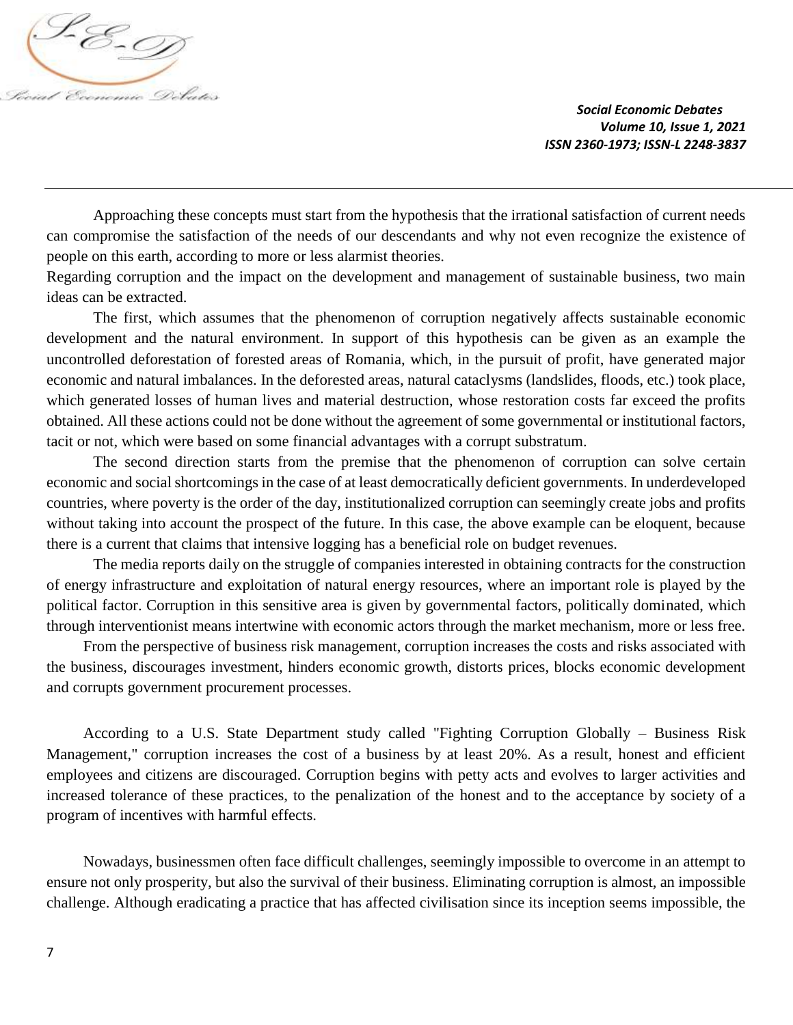

Approaching these concepts must start from the hypothesis that the irrational satisfaction of current needs can compromise the satisfaction of the needs of our descendants and why not even recognize the existence of people on this earth, according to more or less alarmist theories.

Regarding corruption and the impact on the development and management of sustainable business, two main ideas can be extracted.

The first, which assumes that the phenomenon of corruption negatively affects sustainable economic development and the natural environment. In support of this hypothesis can be given as an example the uncontrolled deforestation of forested areas of Romania, which, in the pursuit of profit, have generated major economic and natural imbalances. In the deforested areas, natural cataclysms (landslides, floods, etc.) took place, which generated losses of human lives and material destruction, whose restoration costs far exceed the profits obtained. All these actions could not be done without the agreement of some governmental or institutional factors, tacit or not, which were based on some financial advantages with a corrupt substratum.

The second direction starts from the premise that the phenomenon of corruption can solve certain economic and social shortcomings in the case of at least democratically deficient governments. In underdeveloped countries, where poverty is the order of the day, institutionalized corruption can seemingly create jobs and profits without taking into account the prospect of the future. In this case, the above example can be eloquent, because there is a current that claims that intensive logging has a beneficial role on budget revenues.

The media reports daily on the struggle of companies interested in obtaining contracts for the construction of energy infrastructure and exploitation of natural energy resources, where an important role is played by the political factor. Corruption in this sensitive area is given by governmental factors, politically dominated, which through interventionist means intertwine with economic actors through the market mechanism, more or less free.

From the perspective of business risk management, corruption increases the costs and risks associated with the business, discourages investment, hinders economic growth, distorts prices, blocks economic development and corrupts government procurement processes.

According to a U.S. State Department study called "Fighting Corruption Globally – Business Risk Management," corruption increases the cost of a business by at least 20%. As a result, honest and efficient employees and citizens are discouraged. Corruption begins with petty acts and evolves to larger activities and increased tolerance of these practices, to the penalization of the honest and to the acceptance by society of a program of incentives with harmful effects.

Nowadays, businessmen often face difficult challenges, seemingly impossible to overcome in an attempt to ensure not only prosperity, but also the survival of their business. Eliminating corruption is almost, an impossible challenge. Although eradicating a practice that has affected civilisation since its inception seems impossible, the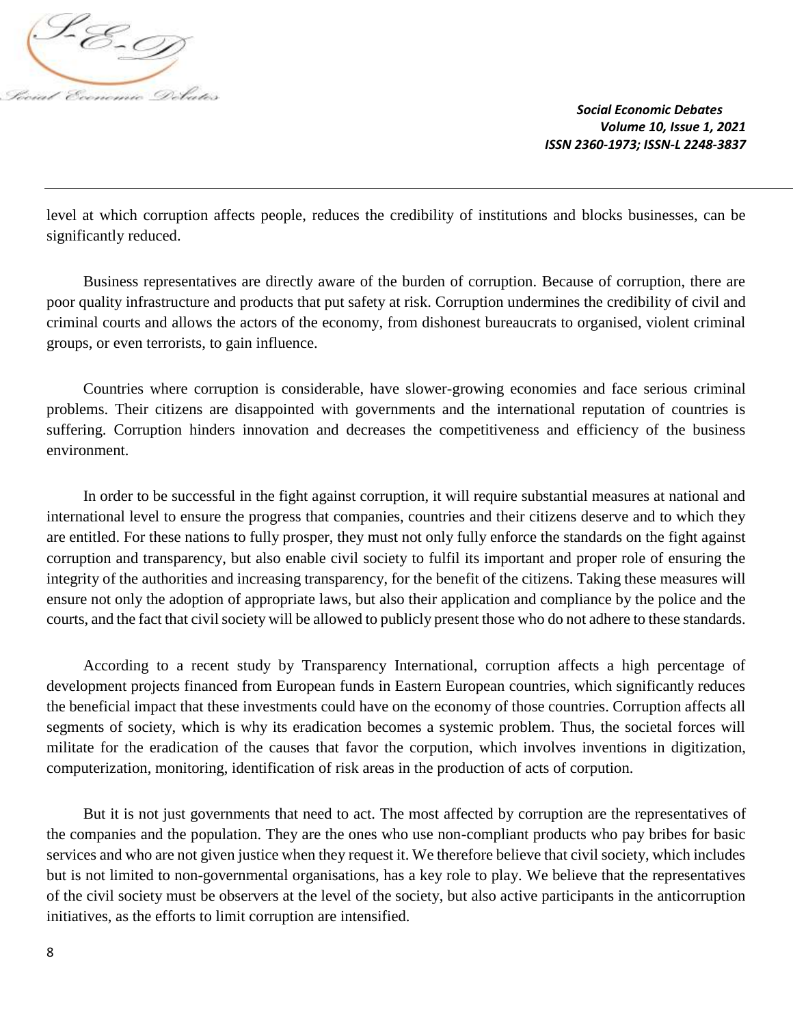

level at which corruption affects people, reduces the credibility of institutions and blocks businesses, can be significantly reduced.

Business representatives are directly aware of the burden of corruption. Because of corruption, there are poor quality infrastructure and products that put safety at risk. Corruption undermines the credibility of civil and criminal courts and allows the actors of the economy, from dishonest bureaucrats to organised, violent criminal groups, or even terrorists, to gain influence.

Countries where corruption is considerable, have slower-growing economies and face serious criminal problems. Their citizens are disappointed with governments and the international reputation of countries is suffering. Corruption hinders innovation and decreases the competitiveness and efficiency of the business environment.

In order to be successful in the fight against corruption, it will require substantial measures at national and international level to ensure the progress that companies, countries and their citizens deserve and to which they are entitled. For these nations to fully prosper, they must not only fully enforce the standards on the fight against corruption and transparency, but also enable civil society to fulfil its important and proper role of ensuring the integrity of the authorities and increasing transparency, for the benefit of the citizens. Taking these measures will ensure not only the adoption of appropriate laws, but also their application and compliance by the police and the courts, and the fact that civil society will be allowed to publicly present those who do not adhere to these standards.

According to a recent study by Transparency International, corruption affects a high percentage of development projects financed from European funds in Eastern European countries, which significantly reduces the beneficial impact that these investments could have on the economy of those countries. Corruption affects all segments of society, which is why its eradication becomes a systemic problem. Thus, the societal forces will militate for the eradication of the causes that favor the corpution, which involves inventions in digitization, computerization, monitoring, identification of risk areas in the production of acts of corpution.

But it is not just governments that need to act. The most affected by corruption are the representatives of the companies and the population. They are the ones who use non-compliant products who pay bribes for basic services and who are not given justice when they request it. We therefore believe that civil society, which includes but is not limited to non-governmental organisations, has a key role to play. We believe that the representatives of the civil society must be observers at the level of the society, but also active participants in the anticorruption initiatives, as the efforts to limit corruption are intensified.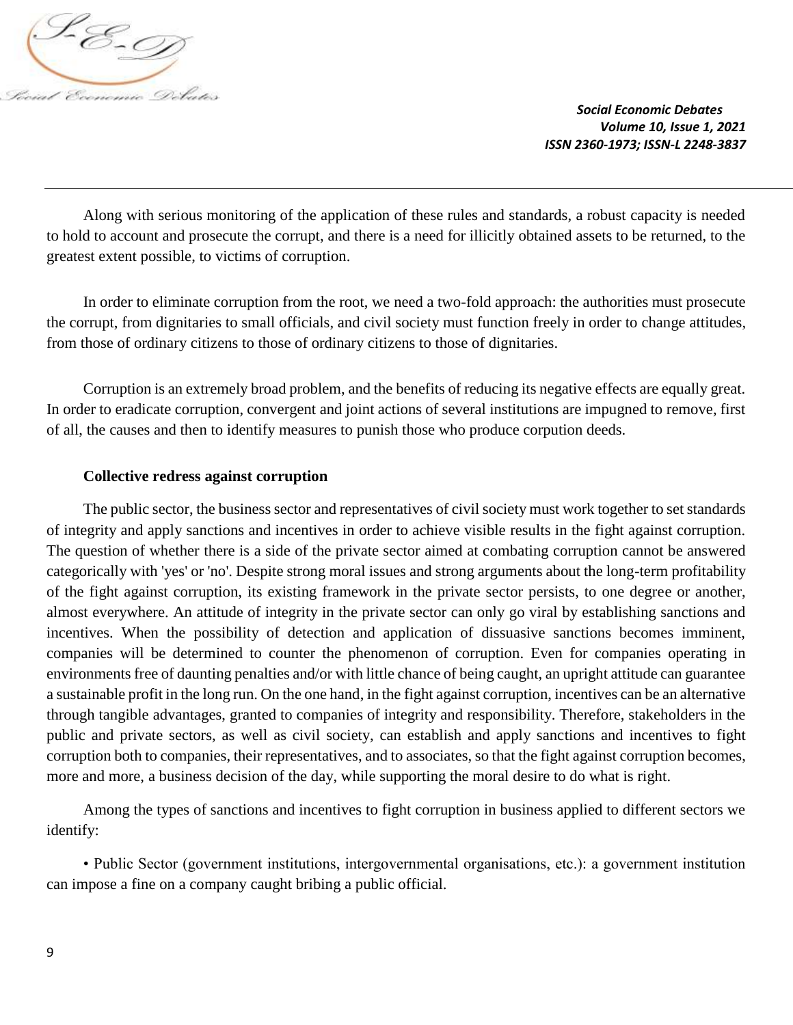

Along with serious monitoring of the application of these rules and standards, a robust capacity is needed to hold to account and prosecute the corrupt, and there is a need for illicitly obtained assets to be returned, to the greatest extent possible, to victims of corruption.

In order to eliminate corruption from the root, we need a two-fold approach: the authorities must prosecute the corrupt, from dignitaries to small officials, and civil society must function freely in order to change attitudes, from those of ordinary citizens to those of ordinary citizens to those of dignitaries.

Corruption is an extremely broad problem, and the benefits of reducing its negative effects are equally great. In order to eradicate corruption, convergent and joint actions of several institutions are impugned to remove, first of all, the causes and then to identify measures to punish those who produce corpution deeds.

#### **Collective redress against corruption**

The public sector, the business sector and representatives of civil society must work together to set standards of integrity and apply sanctions and incentives in order to achieve visible results in the fight against corruption. The question of whether there is a side of the private sector aimed at combating corruption cannot be answered categorically with 'yes' or 'no'. Despite strong moral issues and strong arguments about the long-term profitability of the fight against corruption, its existing framework in the private sector persists, to one degree or another, almost everywhere. An attitude of integrity in the private sector can only go viral by establishing sanctions and incentives. When the possibility of detection and application of dissuasive sanctions becomes imminent, companies will be determined to counter the phenomenon of corruption. Even for companies operating in environments free of daunting penalties and/or with little chance of being caught, an upright attitude can guarantee a sustainable profit in the long run. On the one hand, in the fight against corruption, incentives can be an alternative through tangible advantages, granted to companies of integrity and responsibility. Therefore, stakeholders in the public and private sectors, as well as civil society, can establish and apply sanctions and incentives to fight corruption both to companies, their representatives, and to associates, so that the fight against corruption becomes, more and more, a business decision of the day, while supporting the moral desire to do what is right.

Among the types of sanctions and incentives to fight corruption in business applied to different sectors we identify:

• Public Sector (government institutions, intergovernmental organisations, etc.): a government institution can impose a fine on a company caught bribing a public official.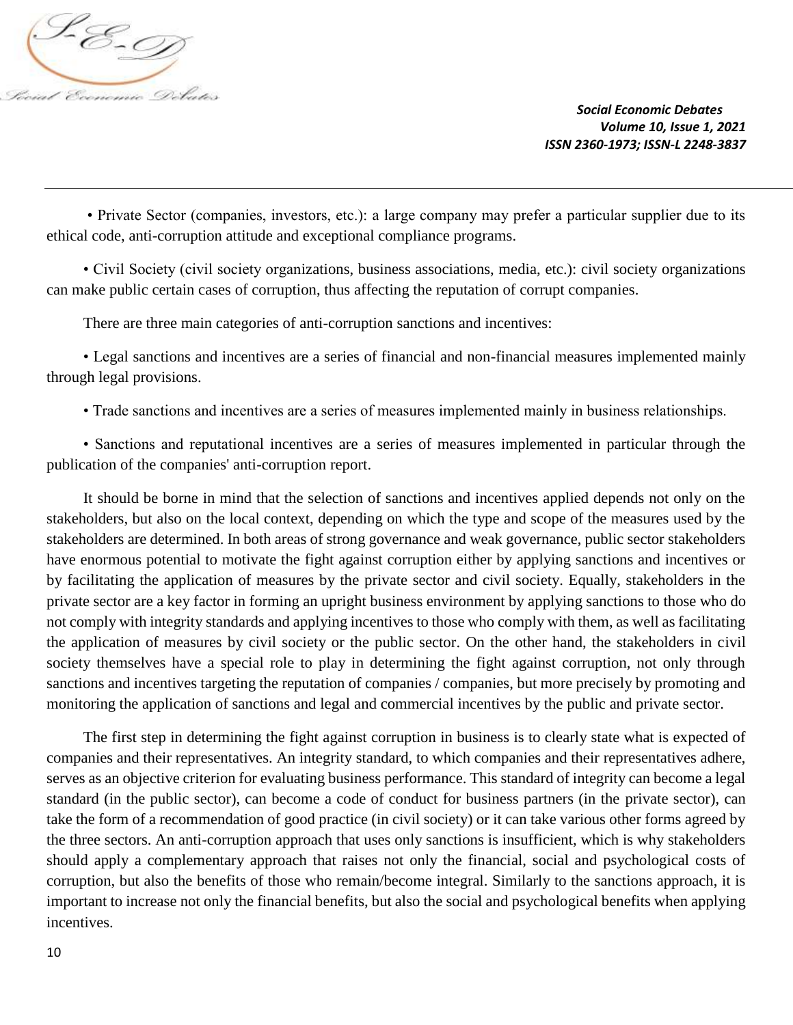

• Private Sector (companies, investors, etc.): a large company may prefer a particular supplier due to its ethical code, anti-corruption attitude and exceptional compliance programs.

• Civil Society (civil society organizations, business associations, media, etc.): civil society organizations can make public certain cases of corruption, thus affecting the reputation of corrupt companies.

There are three main categories of anti-corruption sanctions and incentives:

• Legal sanctions and incentives are a series of financial and non-financial measures implemented mainly through legal provisions.

• Trade sanctions and incentives are a series of measures implemented mainly in business relationships.

• Sanctions and reputational incentives are a series of measures implemented in particular through the publication of the companies' anti-corruption report.

It should be borne in mind that the selection of sanctions and incentives applied depends not only on the stakeholders, but also on the local context, depending on which the type and scope of the measures used by the stakeholders are determined. In both areas of strong governance and weak governance, public sector stakeholders have enormous potential to motivate the fight against corruption either by applying sanctions and incentives or by facilitating the application of measures by the private sector and civil society. Equally, stakeholders in the private sector are a key factor in forming an upright business environment by applying sanctions to those who do not comply with integrity standards and applying incentives to those who comply with them, as well as facilitating the application of measures by civil society or the public sector. On the other hand, the stakeholders in civil society themselves have a special role to play in determining the fight against corruption, not only through sanctions and incentives targeting the reputation of companies / companies, but more precisely by promoting and monitoring the application of sanctions and legal and commercial incentives by the public and private sector.

The first step in determining the fight against corruption in business is to clearly state what is expected of companies and their representatives. An integrity standard, to which companies and their representatives adhere, serves as an objective criterion for evaluating business performance. This standard of integrity can become a legal standard (in the public sector), can become a code of conduct for business partners (in the private sector), can take the form of a recommendation of good practice (in civil society) or it can take various other forms agreed by the three sectors. An anti-corruption approach that uses only sanctions is insufficient, which is why stakeholders should apply a complementary approach that raises not only the financial, social and psychological costs of corruption, but also the benefits of those who remain/become integral. Similarly to the sanctions approach, it is important to increase not only the financial benefits, but also the social and psychological benefits when applying incentives.